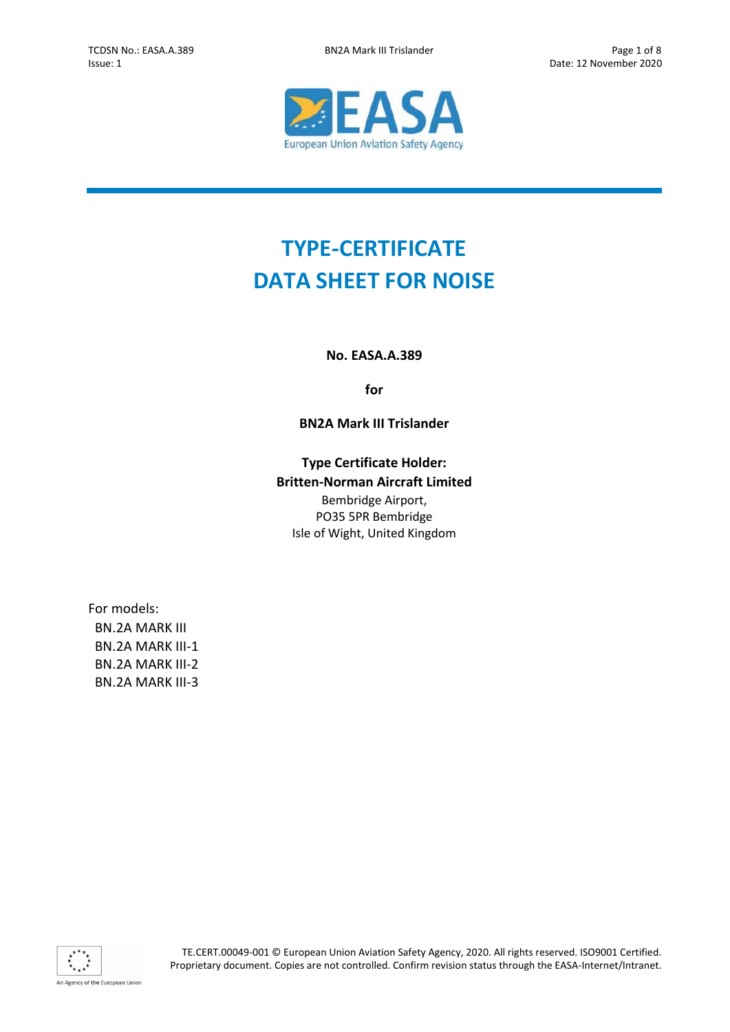

# **TYPE-CERTIFICATE DATA SHEET FOR NOISE**

**No. EASA.A.389**

**for**

## **BN2A Mark III Trislander**

# **Type Certificate Holder: Britten-Norman Aircraft Limited** Bembridge Airport, PO35 5PR Bembridge Isle of Wight, United Kingdom

For models: BN.2A MARK III BN.2A MARK III-1 BN.2A MARK III-2 BN.2A MARK III-3

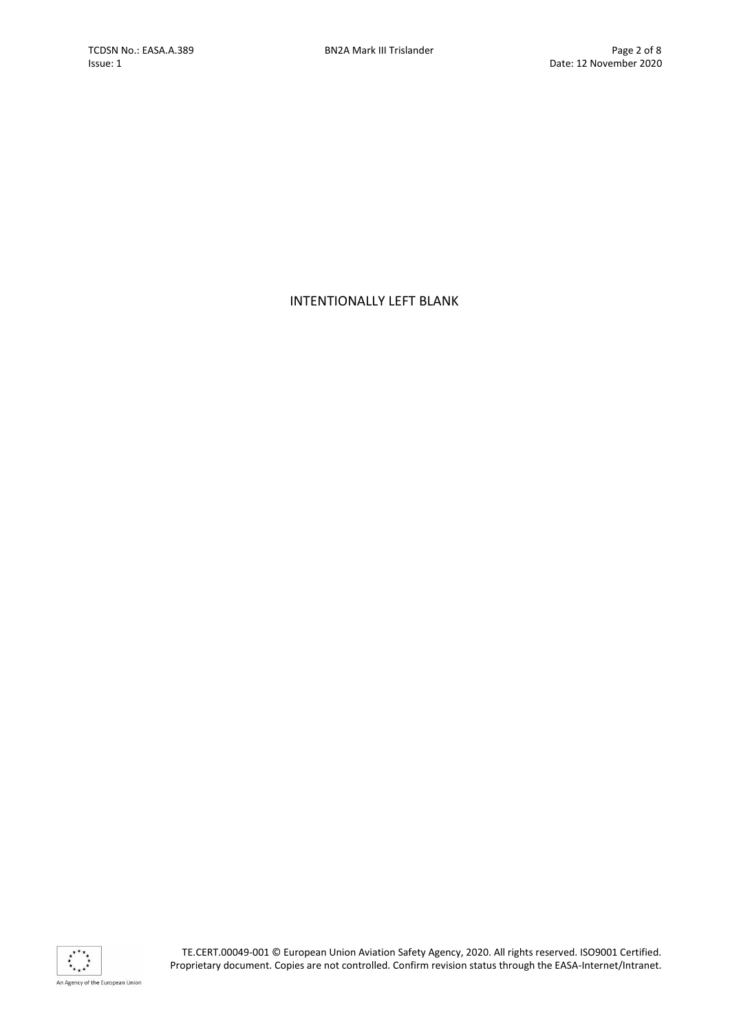# INTENTIONALLY LEFT BLANK



TE.CERT.00049-001 © European Union Aviation Safety Agency, 2020. All rights reserved. ISO9001 Certified. Proprietary document. Copies are not controlled. Confirm revision status through the EASA-Internet/Intranet.

An Agency of the European Union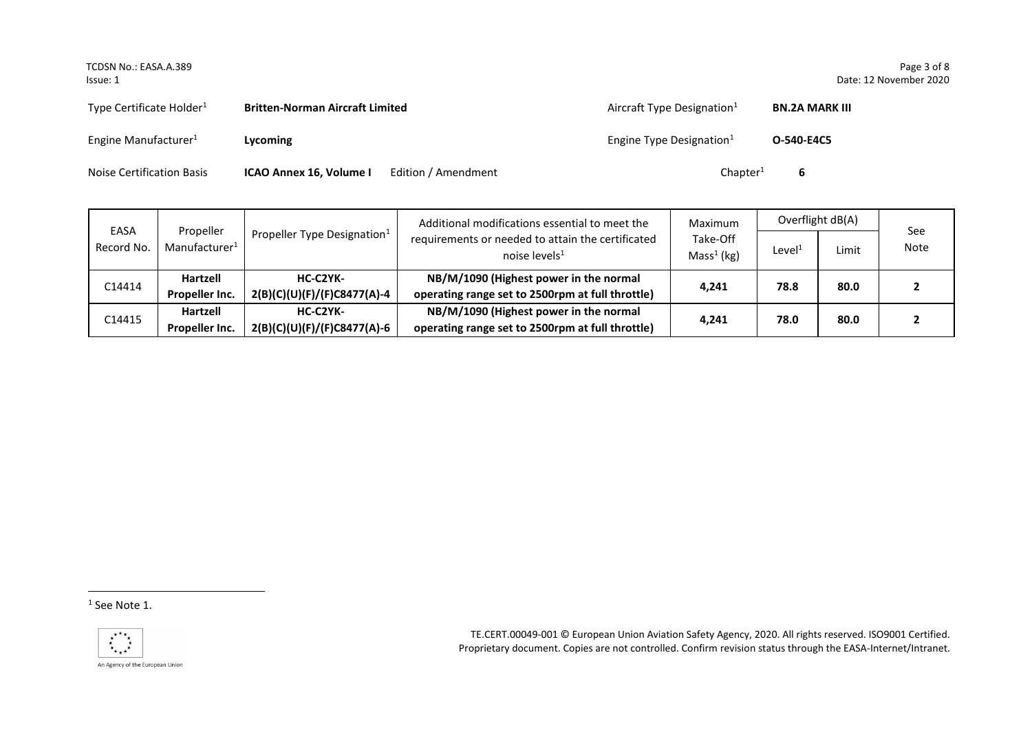| TCDSN No.: EASA.A.389<br>Issue: 1    |                                                |                                        | Page 3 of 8<br>Date: 12 November 2020 |
|--------------------------------------|------------------------------------------------|----------------------------------------|---------------------------------------|
| Type Certificate Holder <sup>1</sup> | <b>Britten-Norman Aircraft Limited</b>         | Aircraft Type Designation <sup>1</sup> | <b>BN.2A MARK III</b>                 |
| Engine Manufacturer <sup>1</sup>     | Lycoming                                       | Engine Type Designation <sup>1</sup>   | O-540-E4C5                            |
| <b>Noise Certification Basis</b>     | Edition / Amendment<br>ICAO Annex 16, Volume I | Chapter <sup>1</sup>                   | 6                                     |

| EASA       | Additional modifications essential to meet the |                                         | Maximum                                                                        | Overflight dB(A)                   |                    | See   |      |
|------------|------------------------------------------------|-----------------------------------------|--------------------------------------------------------------------------------|------------------------------------|--------------------|-------|------|
| Record No. | Propeller<br>Manufacturer <sup>1</sup>         | Propeller Type Designation <sup>1</sup> | requirements or needed to attain the certificated<br>noise levels <sup>1</sup> | Take-Off<br>Mass <sup>1</sup> (kg) | Level <sup>1</sup> | Limit | Note |
| C14414     | Hartzell                                       | HC-C2YK-                                | NB/M/1090 (Highest power in the normal                                         | 4,241                              | 78.8               | 80.0  |      |
|            | Propeller Inc.                                 | 2(B)(C)(U)(F)/(F)C8477(A)-4             | operating range set to 2500rpm at full throttle)                               |                                    |                    |       |      |
| C14415     | Hartzell                                       | HC-C2YK-                                | NB/M/1090 (Highest power in the normal                                         | 4.241                              | 78.0               | 80.0  |      |
|            | Propeller Inc.                                 | 2(B)(C)(U)(F)/(F)C8477(A)-6             | operating range set to 2500rpm at full throttle)                               |                                    |                    |       |      |

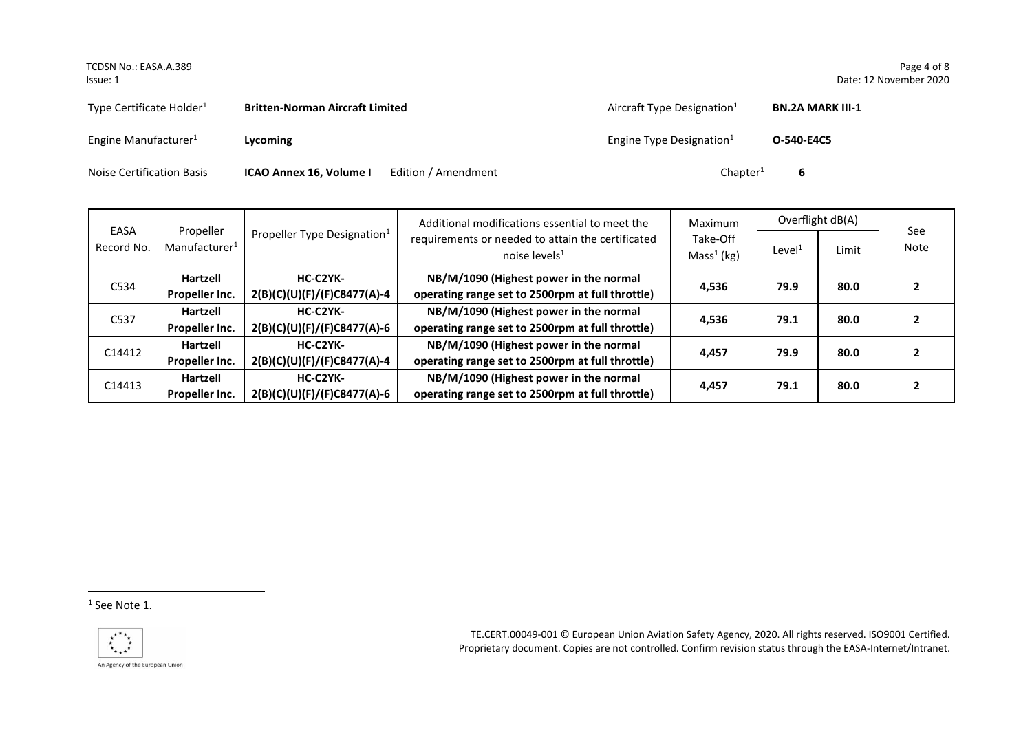| TCDSN No.: EASA.A.389<br>lssue: 1    |                                                |                                        | Page 4 of 8<br>Date: 12 November 2020 |
|--------------------------------------|------------------------------------------------|----------------------------------------|---------------------------------------|
| Type Certificate Holder <sup>1</sup> | <b>Britten-Norman Aircraft Limited</b>         | Aircraft Type Designation <sup>1</sup> | <b>BN.2A MARK III-1</b>               |
| Engine Manufacturer <sup>1</sup>     | Lycoming                                       | Engine Type Designation <sup>1</sup>   | O-540-E4C5                            |
| Noise Certification Basis            | Edition / Amendment<br>ICAO Annex 16, Volume I | Chapter $^1$                           | 6                                     |

| EASA       | Additional modifications essential to meet the<br>Propeller |                                         |                                                                                |                                    | Maximum            |       | Overflight dB(A) |  | See |
|------------|-------------------------------------------------------------|-----------------------------------------|--------------------------------------------------------------------------------|------------------------------------|--------------------|-------|------------------|--|-----|
| Record No. | Manufacturer <sup>1</sup>                                   | Propeller Type Designation <sup>1</sup> | requirements or needed to attain the certificated<br>noise levels <sup>1</sup> | Take-Off<br>Mass <sup>1</sup> (kg) | Level <sup>1</sup> | Limit | Note             |  |     |
| C534       | Hartzell                                                    | HC-C2YK-                                | NB/M/1090 (Highest power in the normal                                         | 4,536                              | 79.9               | 80.0  |                  |  |     |
|            | Propeller Inc.                                              | 2(B)(C)(U)(F)/(F)C8477(A)-4             | operating range set to 2500rpm at full throttle)                               |                                    |                    |       |                  |  |     |
| C537       | Hartzell                                                    | HC-C2YK-                                | NB/M/1090 (Highest power in the normal                                         | 4,536                              | 79.1               | 80.0  |                  |  |     |
|            | Propeller Inc.                                              | 2(B)(C)(U)(F)/(F)C8477(A)-6             | operating range set to 2500rpm at full throttle)                               |                                    |                    |       |                  |  |     |
| C14412     | Hartzell                                                    | HC-C2YK-                                | NB/M/1090 (Highest power in the normal                                         |                                    | 79.9               | 80.0  |                  |  |     |
|            | Propeller Inc.                                              | 2(B)(C)(U)(F)/(F)C8477(A)-4             | operating range set to 2500rpm at full throttle)                               | 4,457                              |                    |       |                  |  |     |
|            | Hartzell                                                    | HC-C2YK-                                | NB/M/1090 (Highest power in the normal                                         |                                    |                    |       |                  |  |     |
| C14413     | Propeller Inc.                                              | 2(B)(C)(U)(F)/(F)C8477(A)-6             | operating range set to 2500rpm at full throttle)                               | 4,457                              | 79.1               | 80.0  |                  |  |     |

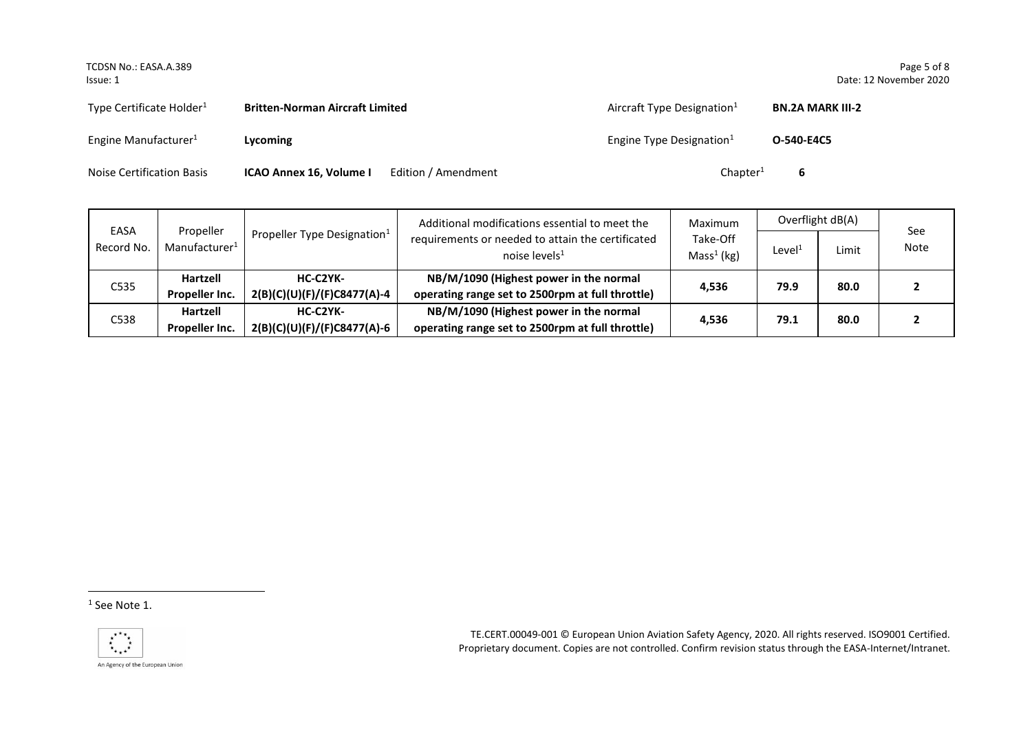| TCDSN No.: EASA.A.389<br>Issue: 1    |                                                |                                        | Page 5 of 8<br>Date: 12 November 2020 |
|--------------------------------------|------------------------------------------------|----------------------------------------|---------------------------------------|
| Type Certificate Holder <sup>1</sup> | <b>Britten-Norman Aircraft Limited</b>         | Aircraft Type Designation <sup>1</sup> | <b>BN.2A MARK III-2</b>               |
| Engine Manufacturer <sup>1</sup>     | Lycoming                                       | Engine Type Designation <sup>1</sup>   | O-540-E4C5                            |
| Noise Certification Basis            | Edition / Amendment<br>ICAO Annex 16, Volume I | Chapter <sup>1</sup>                   | 6                                     |

|            | Additional modifications essential to meet the<br>EASA<br>Propeller |                                         | Maximum                                                                        | Overflight dB(A)                   |                    | See   |      |
|------------|---------------------------------------------------------------------|-----------------------------------------|--------------------------------------------------------------------------------|------------------------------------|--------------------|-------|------|
| Record No. | Manufacturer <sup>1</sup>                                           | Propeller Type Designation <sup>1</sup> | requirements or needed to attain the certificated<br>noise levels <sup>1</sup> | Take-Off<br>Mass <sup>1</sup> (kg) | Level <sup>1</sup> | Limit | Note |
| C535       | Hartzell                                                            | HC-C2YK-                                | NB/M/1090 (Highest power in the normal                                         | 4,536                              | 79.9               | 80.0  |      |
|            | Propeller Inc.                                                      | 2(B)(C)(U)(F)/(F)C8477(A)-4             | operating range set to 2500rpm at full throttle)                               |                                    |                    |       |      |
| C538       | Hartzell                                                            | HC-C2YK-                                | NB/M/1090 (Highest power in the normal                                         | 4,536                              | 79.1               | 80.0  |      |
|            | Propeller Inc.                                                      | 2(B)(C)(U)(F)/(F)C8477(A)-6             | operating range set to 2500rpm at full throttle)                               |                                    |                    |       |      |

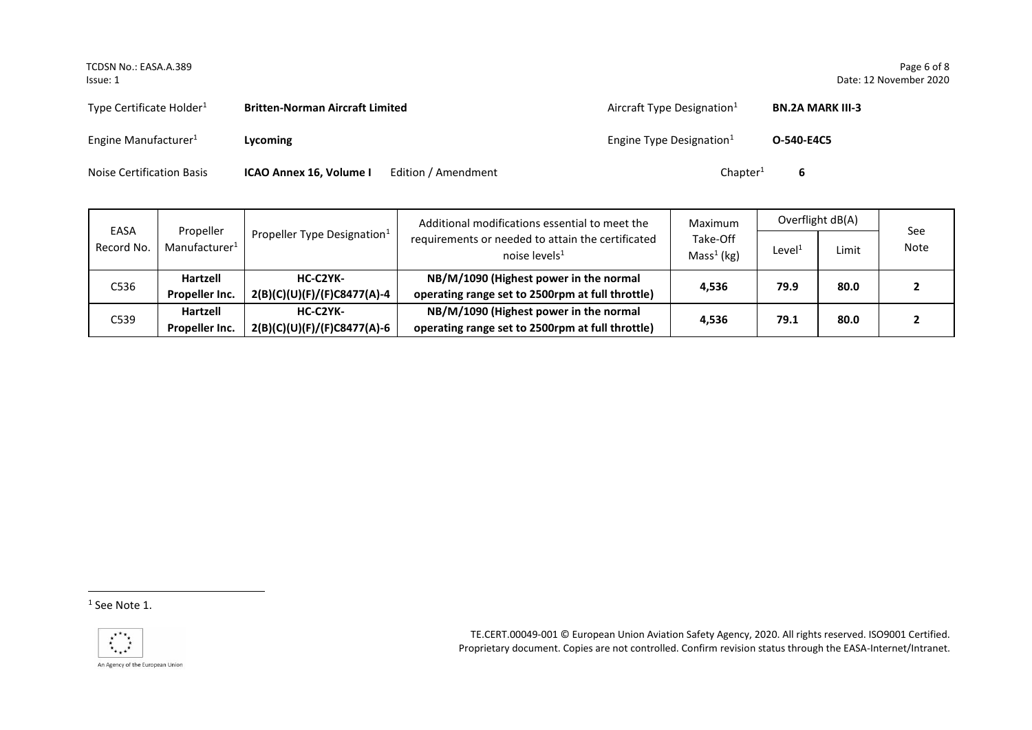| TCDSN No.: EASA.A.389<br>Issue: 1    |                                                |                                        | Page 6 of 8<br>Date: 12 November 2020 |
|--------------------------------------|------------------------------------------------|----------------------------------------|---------------------------------------|
| Type Certificate Holder <sup>1</sup> | <b>Britten-Norman Aircraft Limited</b>         | Aircraft Type Designation <sup>1</sup> | <b>BN.2A MARK III-3</b>               |
| Engine Manufacturer <sup>1</sup>     | Lycoming                                       | Engine Type Designation <sup>1</sup>   | O-540-E4C5                            |
| Noise Certification Basis            | Edition / Amendment<br>ICAO Annex 16, Volume I | Chapter <sup>1</sup>                   | 6                                     |

| EASA       | Additional modifications essential to meet the<br>Propeller |                                         | Maximum                                                                        | Overflight dB(A)                   |           | See   |      |
|------------|-------------------------------------------------------------|-----------------------------------------|--------------------------------------------------------------------------------|------------------------------------|-----------|-------|------|
| Record No. | Manufacturer <sup>1</sup>                                   | Propeller Type Designation <sup>1</sup> | requirements or needed to attain the certificated<br>noise levels <sup>1</sup> | Take-Off<br>Mass <sup>1</sup> (kg) | Level $1$ | Limit | Note |
| C536       | Hartzell                                                    | HC-C2YK-                                | NB/M/1090 (Highest power in the normal                                         | 4,536                              | 79.9      | 80.0  |      |
|            | Propeller Inc.                                              | 2(B)(C)(U)(F)/(F)C8477(A)-4             | operating range set to 2500rpm at full throttle)                               |                                    |           |       |      |
| C539       | Hartzell                                                    | HC-C2YK-                                | NB/M/1090 (Highest power in the normal                                         | 4.536                              | 79.1      | 80.0  |      |
|            | Propeller Inc.                                              | 2(B)(C)(U)(F)/(F)C8477(A)-6             | operating range set to 2500rpm at full throttle)                               |                                    |           |       |      |

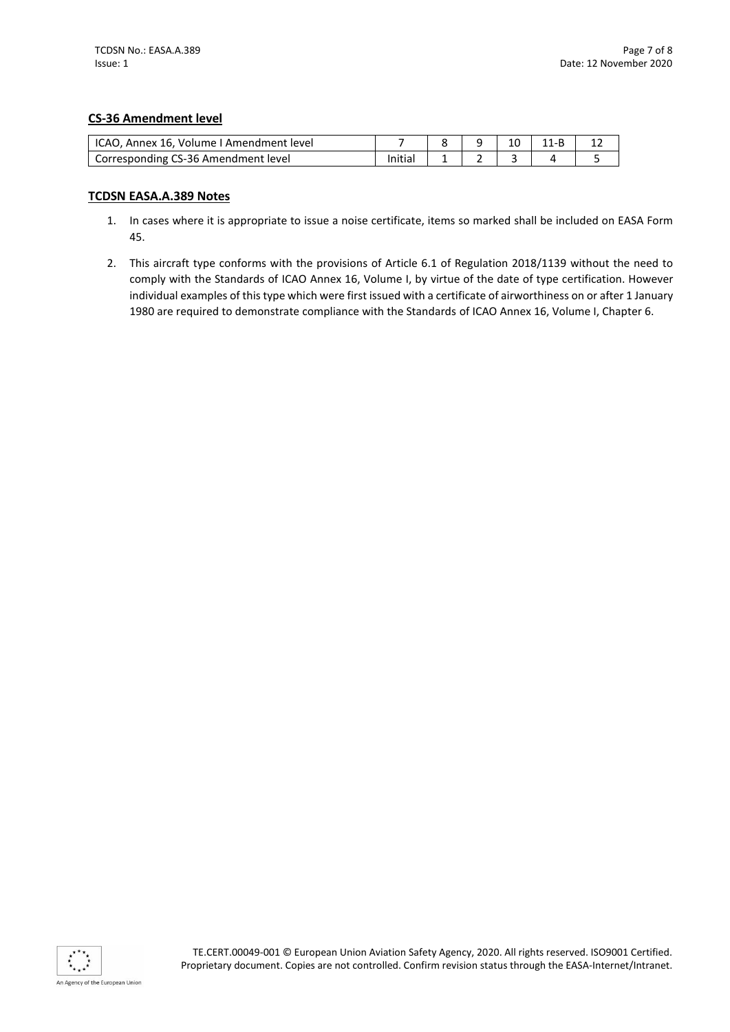#### **CS-36 Amendment level**

| ICAO, Annex 16, Volume I Amendment level_ |  |  | 10 | 1 – H |  |
|-------------------------------------------|--|--|----|-------|--|
| Corresponding CS-36 Amendment level       |  |  |    |       |  |

#### **TCDSN EASA.A.389 Notes**

- 1. In cases where it is appropriate to issue a noise certificate, items so marked shall be included on EASA Form 45.
- 2. This aircraft type conforms with the provisions of Article 6.1 of Regulation 2018/1139 without the need to comply with the Standards of ICAO Annex 16, Volume I, by virtue of the date of type certification. However individual examples of this type which were first issued with a certificate of airworthiness on or after 1 January 1980 are required to demonstrate compliance with the Standards of ICAO Annex 16, Volume I, Chapter 6.